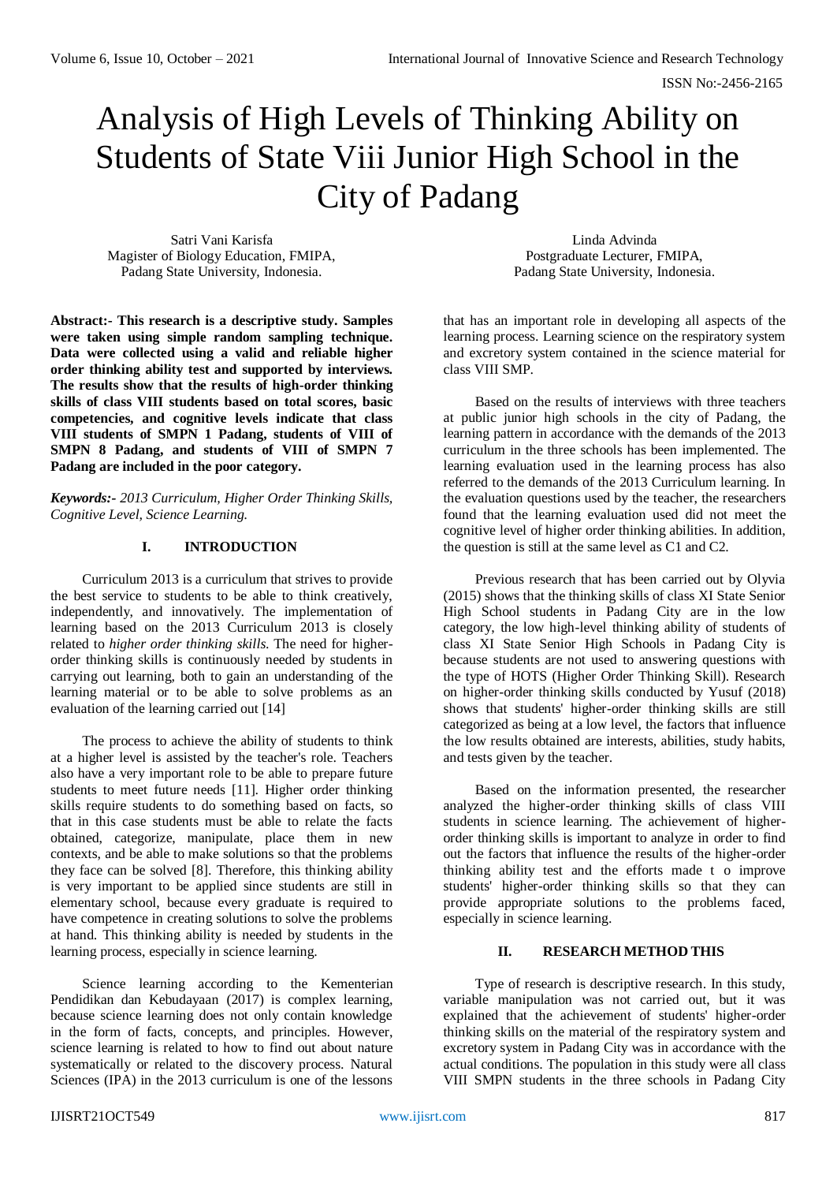# Analysis of High Levels of Thinking Ability on Students of State Viii Junior High School in the City of Padang

Satri Vani Karisfa Magister of Biology Education, FMIPA, Padang State University, Indonesia.

Linda Advinda Postgraduate Lecturer, FMIPA, Padang State University, Indonesia.

**Abstract:- This research is a descriptive study. Samples were taken using simple random sampling technique. Data were collected using a valid and reliable higher order thinking ability test and supported by interviews. The results show that the results of high-order thinking skills of class VIII students based on total scores, basic competencies, and cognitive levels indicate that class VIII students of SMPN 1 Padang, students of VIII of SMPN 8 Padang, and students of VIII of SMPN 7 Padang are included in the poor category.** 

*Keywords:- 2013 Curriculum, Higher Order Thinking Skills, Cognitive Level, Science Learning.*

## **I. INTRODUCTION**

Curriculum 2013 is a curriculum that strives to provide the best service to students to be able to think creatively, independently, and innovatively. The implementation of learning based on the 2013 Curriculum 2013 is closely related to *higher order thinking skills*. The need for higherorder thinking skills is continuously needed by students in carrying out learning, both to gain an understanding of the learning material or to be able to solve problems as an evaluation of the learning carried out [14]

The process to achieve the ability of students to think at a higher level is assisted by the teacher's role. Teachers also have a very important role to be able to prepare future students to meet future needs [11]. Higher order thinking skills require students to do something based on facts, so that in this case students must be able to relate the facts obtained, categorize, manipulate, place them in new contexts, and be able to make solutions so that the problems they face can be solved [8]. Therefore, this thinking ability is very important to be applied since students are still in elementary school, because every graduate is required to have competence in creating solutions to solve the problems at hand. This thinking ability is needed by students in the learning process, especially in science learning.

Science learning according to the Kementerian Pendidikan dan Kebudayaan (2017) is complex learning, because science learning does not only contain knowledge in the form of facts, concepts, and principles. However, science learning is related to how to find out about nature systematically or related to the discovery process. Natural Sciences (IPA) in the 2013 curriculum is one of the lessons

that has an important role in developing all aspects of the learning process. Learning science on the respiratory system and excretory system contained in the science material for class VIII SMP.

Based on the results of interviews with three teachers at public junior high schools in the city of Padang, the learning pattern in accordance with the demands of the 2013 curriculum in the three schools has been implemented. The learning evaluation used in the learning process has also referred to the demands of the 2013 Curriculum learning. In the evaluation questions used by the teacher, the researchers found that the learning evaluation used did not meet the cognitive level of higher order thinking abilities. In addition, the question is still at the same level as C1 and C2.

Previous research that has been carried out by Olyvia (2015) shows that the thinking skills of class XI State Senior High School students in Padang City are in the low category, the low high-level thinking ability of students of class XI State Senior High Schools in Padang City is because students are not used to answering questions with the type of HOTS (Higher Order Thinking Skill). Research on higher-order thinking skills conducted by Yusuf (2018) shows that students' higher-order thinking skills are still categorized as being at a low level, the factors that influence the low results obtained are interests, abilities, study habits, and tests given by the teacher.

Based on the information presented, the researcher analyzed the higher-order thinking skills of class VIII students in science learning. The achievement of higherorder thinking skills is important to analyze in order to find out the factors that influence the results of the higher-order thinking ability test and the efforts made t o improve students' higher-order thinking skills so that they can provide appropriate solutions to the problems faced, especially in science learning.

## **II. RESEARCH METHOD THIS**

Type of research is descriptive research. In this study, variable manipulation was not carried out, but it was explained that the achievement of students' higher-order thinking skills on the material of the respiratory system and excretory system in Padang City was in accordance with the actual conditions. The population in this study were all class VIII SMPN students in the three schools in Padang City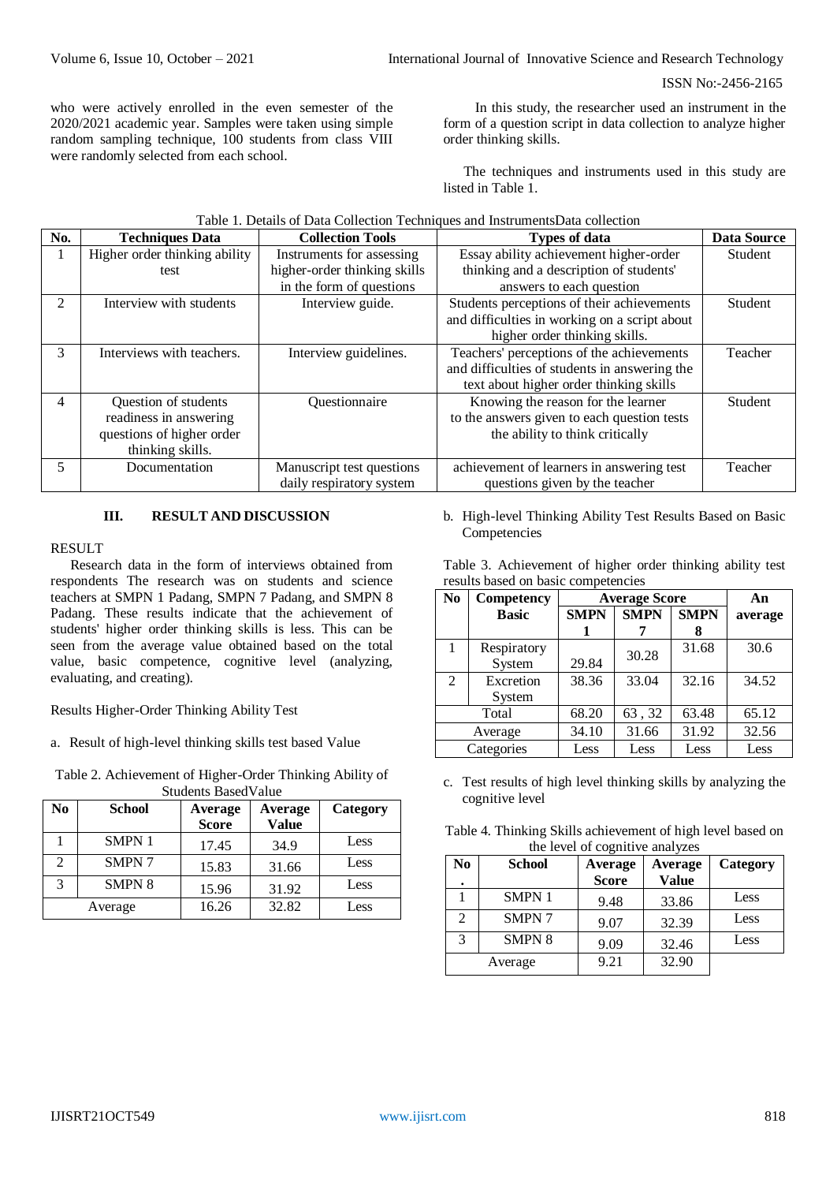ISSN No:-2456-2165

who were actively enrolled in the even semester of the 2020/2021 academic year. Samples were taken using simple random sampling technique, 100 students from class VIII were randomly selected from each school.

In this study, the researcher used an instrument in the form of a question script in data collection to analyze higher order thinking skills.

The techniques and instruments used in this study are listed in Table 1.

|  | Table 1. Details of Data Collection Techniques and Instruments Data collection |  |  |  |
|--|--------------------------------------------------------------------------------|--|--|--|
|--|--------------------------------------------------------------------------------|--|--|--|

| No.           | <b>Techniques Data</b>        | <b>Collection Tools</b>      | <b>Types of data</b>                          | <b>Data Source</b> |
|---------------|-------------------------------|------------------------------|-----------------------------------------------|--------------------|
|               | Higher order thinking ability | Instruments for assessing    | Essay ability achievement higher-order        | Student            |
|               | test                          | higher-order thinking skills | thinking and a description of students'       |                    |
|               |                               | in the form of questions     | answers to each question                      |                    |
| $\mathcal{L}$ | Interview with students       | Interview guide.             | Students perceptions of their achievements    | <b>Student</b>     |
|               |                               |                              | and difficulties in working on a script about |                    |
|               |                               |                              | higher order thinking skills.                 |                    |
| 3             | Interviews with teachers.     | Interview guidelines.        | Teachers' perceptions of the achievements     | Teacher            |
|               |                               |                              | and difficulties of students in answering the |                    |
|               |                               |                              | text about higher order thinking skills       |                    |
| 4             | Question of students          | Questionnaire                | Knowing the reason for the learner            | Student            |
|               | readiness in answering        |                              | to the answers given to each question tests   |                    |
|               | questions of higher order     |                              | the ability to think critically               |                    |
|               | thinking skills.              |                              |                                               |                    |
| 5             | Documentation                 | Manuscript test questions    | achievement of learners in answering test     | Teacher            |
|               |                               | daily respiratory system     | questions given by the teacher                |                    |

#### **III. RESULT AND DISCUSSION**

#### RESULT

Research data in the form of interviews obtained from respondents The research was on students and science teachers at SMPN 1 Padang, SMPN 7 Padang, and SMPN 8 Padang. These results indicate that the achievement of students' higher order thinking skills is less. This can be seen from the average value obtained based on the total value, basic competence, cognitive level (analyzing, evaluating, and creating).

Results Higher-Order Thinking Ability Test

- a. Result of high-level thinking skills test based Value
- Table 2. Achievement of Higher-Order Thinking Ability of Students BasedValue

| No | <b>School</b> | Average<br><b>Score</b> | Average<br><b>Value</b> | Category |
|----|---------------|-------------------------|-------------------------|----------|
|    | <b>SMPN1</b>  | 17.45                   | 34.9                    | Less     |
| 2  | <b>SMPN7</b>  | 15.83                   | 31.66                   | Less     |
| 3  | <b>SMPN 8</b> | 15.96                   | 31.92                   | Less     |
|    | Average       | 16.26                   | 32.82                   | Less     |

b. High-level Thinking Ability Test Results Based on Basic Competencies

| N <sub>0</sub> | Competency   | <b>Average Score</b> |                            |       | An      |
|----------------|--------------|----------------------|----------------------------|-------|---------|
|                | <b>Basic</b> | <b>SMPN</b>          | <b>SMPN</b><br><b>SMPN</b> |       | average |
|                |              |                      |                            |       |         |
|                | Respiratory  |                      | 30.28                      | 31.68 | 30.6    |
|                | System       | 29.84                |                            |       |         |
| $\overline{2}$ | Excretion    | 38.36                | 33.04                      | 32.16 | 34.52   |
|                | System       |                      |                            |       |         |
|                | Total        | 68.20                | 63, 32                     | 63.48 | 65.12   |
| Average        |              | 34.10                | 31.66                      | 31.92 | 32.56   |
| Categories     |              | Less                 | Less                       | Less  | Less    |

Table 3. Achievement of higher order thinking ability test results based on basic competencies

c. Test results of high level thinking skills by analyzing the cognitive level

Table 4. Thinking Skills achievement of high level based on the level of cognitive analyzes

| No<br>٠ | <b>School</b> | Average<br><b>Score</b> | Average<br><b>Value</b> | Category |
|---------|---------------|-------------------------|-------------------------|----------|
|         | <b>SMPN1</b>  | 9.48                    | 33.86                   | Less     |
| 2       | <b>SMPN7</b>  | 9.07                    | 32.39                   | Less     |
| 3       | <b>SMPN 8</b> | 9.09                    | 32.46                   | Less     |
|         | Average       | 9.21                    | 32.90                   |          |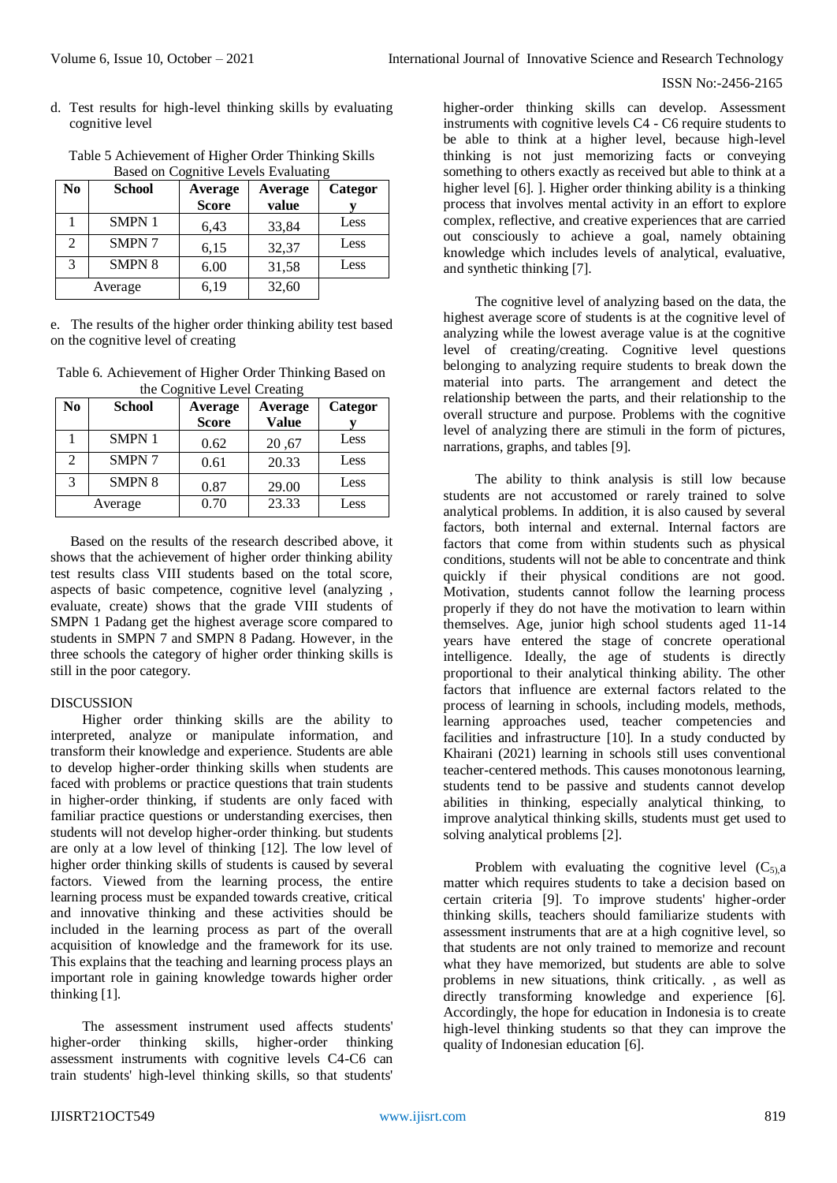#### ISSN No:-2456-2165

d. Test results for high-level thinking skills by evaluating cognitive level

| No | <b>School</b> | Average<br><b>Score</b> | Average<br>value | Categor |
|----|---------------|-------------------------|------------------|---------|
|    | <b>SMPN1</b>  | 6.43                    | 33,84            | Less    |
| 2  | <b>SMPN7</b>  | 6,15                    | 32,37            | Less    |
| 3  | <b>SMPN 8</b> | 6.00                    | 31,58            | Less    |
|    | Average       | 6,19                    | 32,60            |         |

Table 5 Achievement of Higher Order Thinking Skills Based on Cognitive Levels Evaluating

e. The results of the higher order thinking ability test based on the cognitive level of creating

Table 6. Achievement of Higher Order Thinking Based on the Cognitive Level Creating

| No                          | <b>School</b> | <b>Average</b><br><b>Score</b> | <b>Average</b><br><b>Value</b> | Categor |
|-----------------------------|---------------|--------------------------------|--------------------------------|---------|
|                             | <b>SMPN1</b>  | 0.62                           | 20,67                          | Less    |
| $\mathcal{D}_{\mathcal{L}}$ | SMPN 7        | 0.61                           | 20.33                          | Less    |
| 3                           | <b>SMPN 8</b> | 0.87                           | 29.00                          | Less    |
|                             | Average       | 0.70                           | 23.33                          | Less    |

Based on the results of the research described above, it shows that the achievement of higher order thinking ability test results class VIII students based on the total score, aspects of basic competence, cognitive level (analyzing , evaluate, create) shows that the grade VIII students of SMPN 1 Padang get the highest average score compared to students in SMPN 7 and SMPN 8 Padang. However, in the three schools the category of higher order thinking skills is still in the poor category.

## **DISCUSSION**

Higher order thinking skills are the ability to interpreted, analyze or manipulate information, and transform their knowledge and experience. Students are able to develop higher-order thinking skills when students are faced with problems or practice questions that train students in higher-order thinking, if students are only faced with familiar practice questions or understanding exercises, then students will not develop higher-order thinking. but students are only at a low level of thinking [12]. The low level of higher order thinking skills of students is caused by several factors. Viewed from the learning process, the entire learning process must be expanded towards creative, critical and innovative thinking and these activities should be included in the learning process as part of the overall acquisition of knowledge and the framework for its use. This explains that the teaching and learning process plays an important role in gaining knowledge towards higher order thinking [1].

The assessment instrument used affects students' higher-order thinking skills, higher-order thinking assessment instruments with cognitive levels C4-C6 can train students' high-level thinking skills, so that students' higher-order thinking skills can develop. Assessment instruments with cognitive levels C4 - C6 require students to be able to think at a higher level, because high-level thinking is not just memorizing facts or conveying something to others exactly as received but able to think at a higher level [6]. ]. Higher order thinking ability is a thinking process that involves mental activity in an effort to explore complex, reflective, and creative experiences that are carried out consciously to achieve a goal, namely obtaining knowledge which includes levels of analytical, evaluative, and synthetic thinking [7].

The cognitive level of analyzing based on the data, the highest average score of students is at the cognitive level of analyzing while the lowest average value is at the cognitive level of creating/creating. Cognitive level questions belonging to analyzing require students to break down the material into parts. The arrangement and detect the relationship between the parts, and their relationship to the overall structure and purpose. Problems with the cognitive level of analyzing there are stimuli in the form of pictures, narrations, graphs, and tables [9].

The ability to think analysis is still low because students are not accustomed or rarely trained to solve analytical problems. In addition, it is also caused by several factors, both internal and external. Internal factors are factors that come from within students such as physical conditions, students will not be able to concentrate and think quickly if their physical conditions are not good. Motivation, students cannot follow the learning process properly if they do not have the motivation to learn within themselves. Age, junior high school students aged 11-14 years have entered the stage of concrete operational intelligence. Ideally, the age of students is directly proportional to their analytical thinking ability. The other factors that influence are external factors related to the process of learning in schools, including models, methods, learning approaches used, teacher competencies and facilities and infrastructure [10]. In a study conducted by Khairani (2021) learning in schools still uses conventional teacher-centered methods. This causes monotonous learning, students tend to be passive and students cannot develop abilities in thinking, especially analytical thinking, to improve analytical thinking skills, students must get used to solving analytical problems [2].

Problem with evaluating the cognitive level  $(C_{5)$ , a matter which requires students to take a decision based on certain criteria [9]. To improve students' higher-order thinking skills, teachers should familiarize students with assessment instruments that are at a high cognitive level, so that students are not only trained to memorize and recount what they have memorized, but students are able to solve problems in new situations, think critically. , as well as directly transforming knowledge and experience [6]. Accordingly, the hope for education in Indonesia is to create high-level thinking students so that they can improve the quality of Indonesian education [6].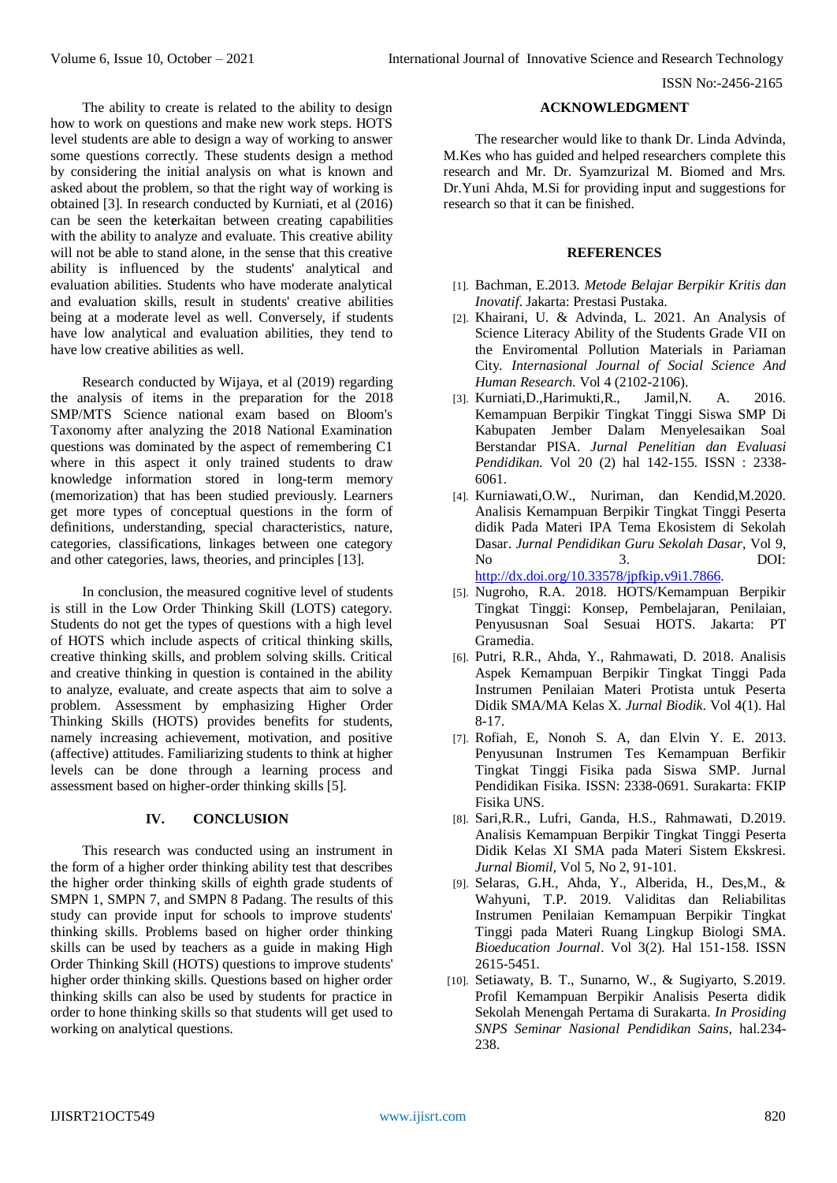The ability to create is related to the ability to design how to work on questions and make new work steps. HOTS level students are able to design a way of working to answer some questions correctly. These students design a method by considering the initial analysis on what is known and asked about the problem, so that the right way of working is obtained [3]. In research conducted by Kurniati, et al (2016) can be seen the ket**e**rkaitan between creating capabilities with the ability to analyze and evaluate. This creative ability will not be able to stand alone, in the sense that this creative ability is influenced by the students' analytical and evaluation abilities. Students who have moderate analytical and evaluation skills, result in students' creative abilities being at a moderate level as well. Conversely, if students have low analytical and evaluation abilities, they tend to have low creative abilities as well.

Research conducted by Wijaya, et al (2019) regarding the analysis of items in the preparation for the 2018 SMP/MTS Science national exam based on Bloom's Taxonomy after analyzing the 2018 National Examination questions was dominated by the aspect of remembering C1 where in this aspect it only trained students to draw knowledge information stored in long-term memory (memorization) that has been studied previously. Learners get more types of conceptual questions in the form of definitions, understanding, special characteristics, nature, categories, classifications, linkages between one category and other categories, laws, theories, and principles [13].

In conclusion, the measured cognitive level of students is still in the Low Order Thinking Skill (LOTS) category. Students do not get the types of questions with a high level of HOTS which include aspects of critical thinking skills, creative thinking skills, and problem solving skills. Critical and creative thinking in question is contained in the ability to analyze, evaluate, and create aspects that aim to solve a problem. Assessment by emphasizing Higher Order Thinking Skills (HOTS) provides benefits for students, namely increasing achievement, motivation, and positive (affective) attitudes. Familiarizing students to think at higher levels can be done through a learning process and assessment based on higher-order thinking skills [5].

#### **IV. CONCLUSION**

This research was conducted using an instrument in the form of a higher order thinking ability test that describes the higher order thinking skills of eighth grade students of SMPN 1, SMPN 7, and SMPN 8 Padang. The results of this study can provide input for schools to improve students' thinking skills. Problems based on higher order thinking skills can be used by teachers as a guide in making High Order Thinking Skill (HOTS) questions to improve students' higher order thinking skills. Questions based on higher order thinking skills can also be used by students for practice in order to hone thinking skills so that students will get used to working on analytical questions.

### **ACKNOWLEDGMENT**

The researcher would like to thank Dr. Linda Advinda, M.Kes who has guided and helped researchers complete this research and Mr. Dr. Syamzurizal M. Biomed and Mrs. Dr.Yuni Ahda, M.Si for providing input and suggestions for research so that it can be finished.

#### **REFERENCES**

- [1]. Bachman, E.2013. *Metode Belajar Berpikir Kritis dan Inovatif*. Jakarta: Prestasi Pustaka.
- [2]. Khairani, U. & Advinda, L. 2021. An Analysis of Science Literacy Ability of the Students Grade VII on the Enviromental Pollution Materials in Pariaman City. *Internasional Journal of Social Science And Human Research*. Vol 4 (2102-2106).
- [3]. Kurniati,D.,Harimukti,R., Jamil,N. A. 2016. Kemampuan Berpikir Tingkat Tinggi Siswa SMP Di Kabupaten Jember Dalam Menyelesaikan Soal Berstandar PISA. *Jurnal Penelitian dan Evaluasi Pendidikan*. Vol 20 (2) hal 142-155. ISSN : 2338- 6061.
- [4]. Kurniawati,O.W., Nuriman, dan Kendid,M.2020. Analisis Kemampuan Berpikir Tingkat Tinggi Peserta didik Pada Materi IPA Tema Ekosistem di Sekolah Dasar. *Jurnal Pendidikan Guru Sekolah Dasar*, Vol 9, No 3. DOI: [http://dx.doi.org/10.33578/jpfkip.v9i1.7866.](http://dx.doi.org/10.33578/jpfkip.v9i1.7866)
- [5]. Nugroho, R.A. 2018. HOTS/Kemampuan Berpikir Tingkat Tinggi: Konsep, Pembelajaran, Penilaian, Penyususnan Soal Sesuai HOTS. Jakarta: PT Gramedia.
- [6]. Putri, R.R., Ahda, Y., Rahmawati, D. 2018. Analisis Aspek Kemampuan Berpikir Tingkat Tinggi Pada Instrumen Penilaian Materi Protista untuk Peserta Didik SMA/MA Kelas X. *Jurnal Biodik*. Vol 4(1). Hal 8-17.
- [7]. Rofiah, E, Nonoh S. A, dan Elvin Y. E. 2013. Penyusunan Instrumen Tes Kemampuan Berfikir Tingkat Tinggi Fisika pada Siswa SMP. Jurnal Pendidikan Fisika. ISSN: 2338-0691. Surakarta: FKIP Fisika UNS.
- [8]. Sari,R.R., Lufri, Ganda, H.S., Rahmawati, D.2019. Analisis Kemampuan Berpikir Tingkat Tinggi Peserta Didik Kelas XI SMA pada Materi Sistem Ekskresi. *Jurnal Biomil,* Vol 5, No 2, 91-101.
- [9]. Selaras, G.H., Ahda, Y., Alberida, H., Des,M., & Wahyuni, T.P. 2019. Validitas dan Reliabilitas Instrumen Penilaian Kemampuan Berpikir Tingkat Tinggi pada Materi Ruang Lingkup Biologi SMA. *Bioeducation Journal*. Vol 3(2). Hal 151-158. ISSN 2615-5451.
- [10]. Setiawaty, B. T., Sunarno, W., & Sugiyarto, S.2019. Profil Kemampuan Berpikir Analisis Peserta didik Sekolah Menengah Pertama di Surakarta. *In Prosiding SNPS Seminar Nasional Pendidikan Sains*, hal.234- 238.